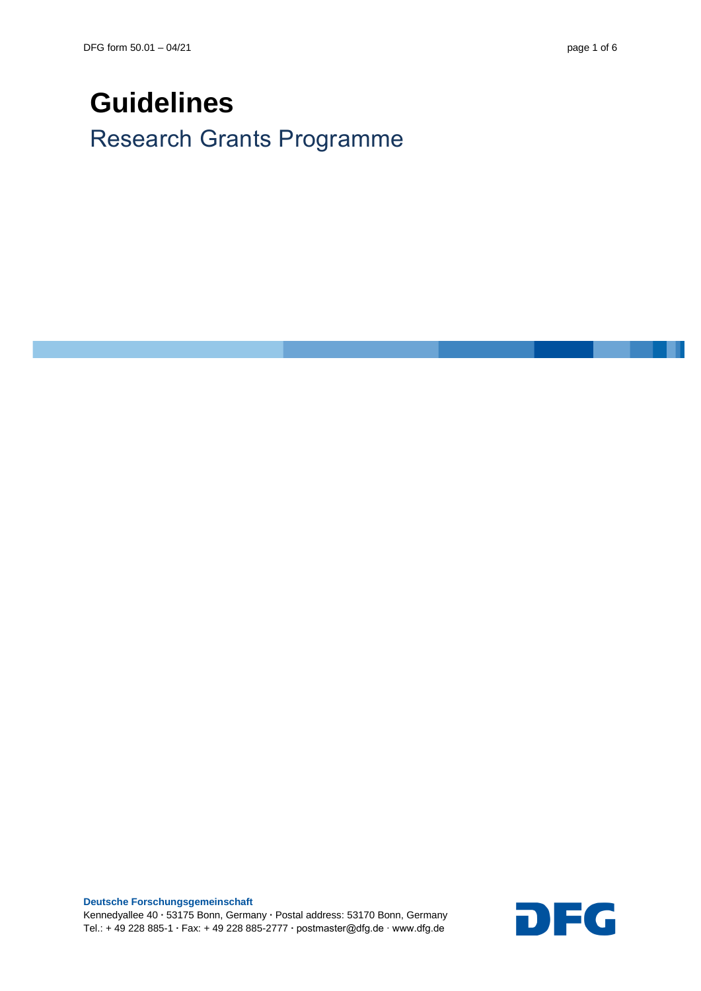# **Guidelines**

Research Grants Programme

**Deutsche Forschungsgemeinschaft** Kennedyallee 40 **∙** 53175 Bonn, Germany **∙** Postal address: 53170 Bonn, Germany Deutsche Forschungsgemeinschaft<br>Kennedyallee 40 • 53175 Bonn, Germany • Postal address: 53170 Bonn, Germany<br>Tel.: + 49 228 885-1 • Fax: + 49 228 885-2777 • postmaster@dfg.de ∙ www.dfg.de

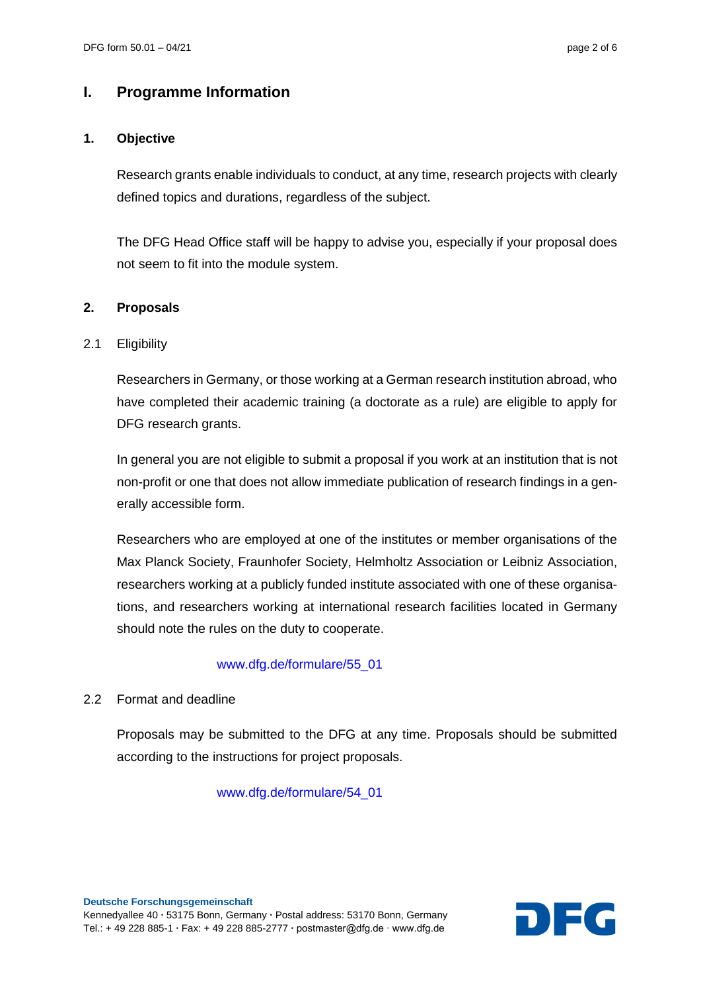# **I. Programme Information**

# **1. Objective**

Research grants enable individuals to conduct, at any time, research projects with clearly defined topics and durations, regardless of the subject.

The DFG Head Office staff will be happy to advise you, especially if your proposal does not seem to fit into the module system.

#### **2. Proposals**

#### 2.1 Eligibility

Researchers in Germany, or those working at a German research institution abroad, who have completed their academic training (a doctorate as a rule) are eligible to apply for DFG research grants.

In general you are not eligible to submit a proposal if you work at an institution that is not non-profit or one that does not allow immediate publication of research findings in a generally accessible form.

Researchers who are employed at one of the institutes or member organisations of the Max Planck Society, Fraunhofer Society, Helmholtz Association or Leibniz Association, researchers working at a publicly funded institute associated with one of these organisations, and researchers working at international research facilities located in Germany should note the rules on the duty to cooperate.

#### [www.dfg.de/formulare/55\\_01](http://www.dfg.de/formulare/55_01)

# 2.2 Format and deadline

Proposals may be submitted to the DFG at any time. Proposals should be submitted according to the instructions for project proposals.

[www.dfg.de/formulare/54\\_01](http://www.dfg.de/formulare/54_01)

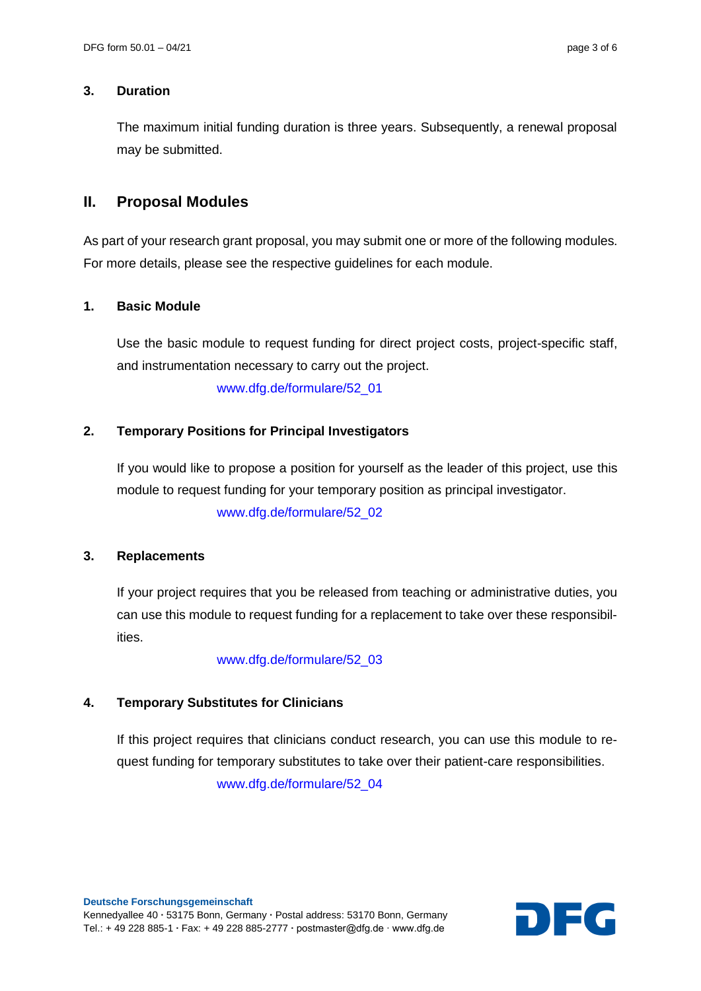#### **3. Duration**

The maximum initial funding duration is three years. Subsequently, a renewal proposal may be submitted.

# **II. Proposal Modules**

As part of your research grant proposal, you may submit one or more of the following modules. For more details, please see the respective guidelines for each module.

# **1. Basic Module**

Use the basic module to request funding for direct project costs, project-specific staff, and instrumentation necessary to carry out the project.

[www.dfg.de/formulare/52\\_01](http://www.dfg.de/formulare/52_01)

# **2. Temporary Positions for Principal Investigators**

If you would like to propose a position for yourself as the leader of this project, use this module to request funding for your temporary position as principal investigator. [www.dfg.de/formulare/52\\_02](http://www.dfg.de/formulare/52_02)

# **3. Replacements**

If your project requires that you be released from teaching or administrative duties, you can use this module to request funding for a replacement to take over these responsibilities.

#### [www.dfg.de/formulare/52\\_03](http://www.dfg.de/formulare/52_03)

# **4. Temporary Substitutes for Clinicians**

If this project requires that clinicians conduct research, you can use this module to request funding for temporary substitutes to take over their patient-care responsibilities. [www.dfg.de/formulare/52\\_04](http://www.dfg.de/formulare/52_04)

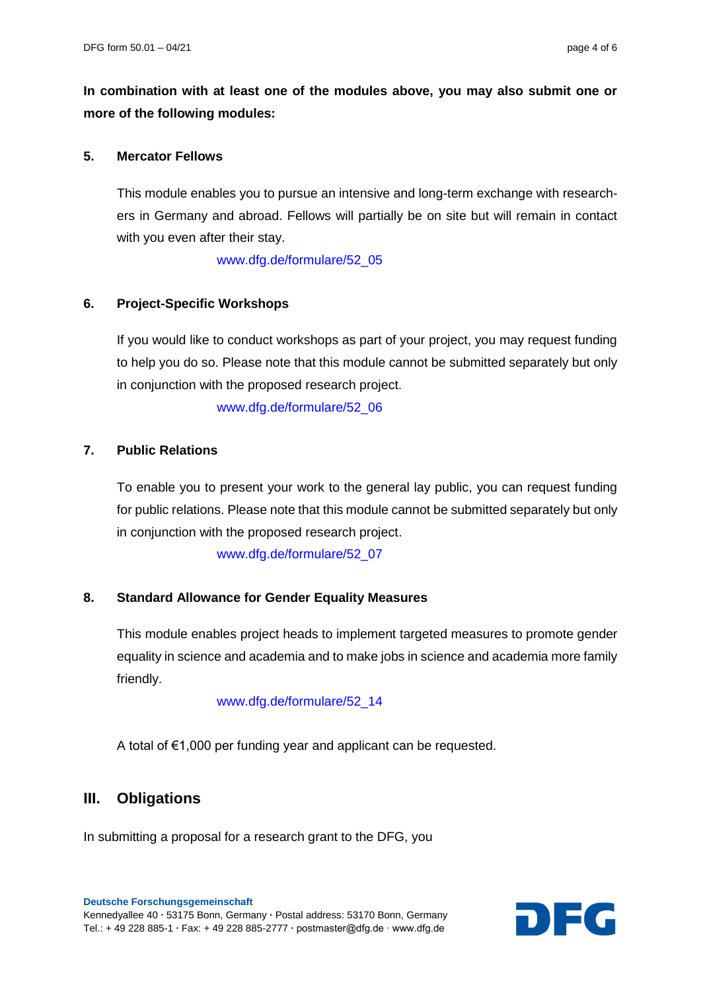**In combination with at least one of the modules above, you may also submit one or more of the following modules:**

#### **5. [Mercator](file://///Srwgp101/AG%20Modularisierung/Vordrucke_finale%20Formatierung_ORG/A10%20Modulmerkblatt%20Fellow.docx) Fellows**

This module enables you to pursue an intensive and long-term exchange with researchers in Germany and abroad. Fellows will partially be on site but will remain in contact with you even after their stay.

[www.dfg.de/formulare/52\\_05](http://www.dfg.de/formulare/52_05)

#### **6. Project-Specific Workshops**

If you would like to conduct workshops as part of your project, you may request funding to help you do so. Please note that this module cannot be submitted separately but only in conjunction with the proposed research project.

[www.dfg.de/formulare/52\\_06](http://www.dfg.de/formulare/52_06)

# **7. Public Relations**

To enable you to present your work to the general lay public, you can request funding for public relations. Please note that this module cannot be submitted separately but only in conjunction with the proposed research project.

[www.dfg.de/formulare/52\\_07](http://www.dfg.de/formulare/52_07)

# **8. Standard Allowance for Gender Equality Measures**

This module enables project heads to implement targeted measures to promote gender equality in science and academia and to make jobs in science and academia more family friendly.

#### [www.dfg.de/formulare/52\\_14](http://www.dfg.de/formulare/52_14)

A total of €1,000 per funding year and applicant can be requested.

# **III. Obligations**

In submitting a proposal for a research grant to the DFG, you

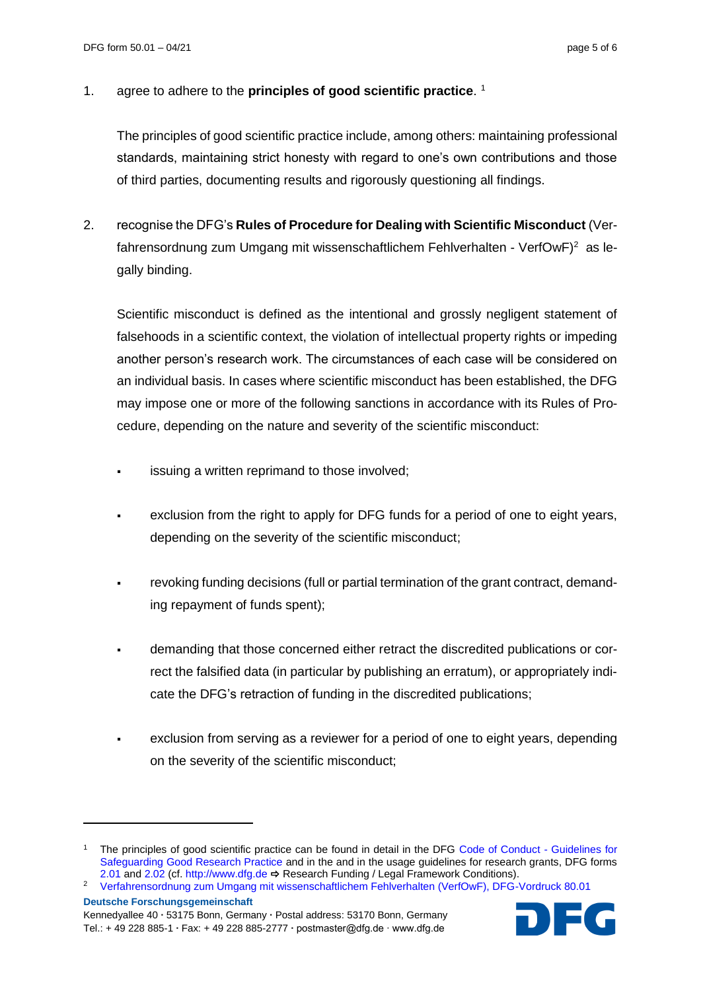#### 1. agree to adhere to the **principles of good scientific practice**. *<sup>F</sup>* 1

The principles of good scientific practice include, among others: maintaining professional standards, maintaining strict honesty with regard to one's own contributions and those of third parties, documenting results and rigorously questioning all findings.

2. recognise the DFG's **Rules of Procedure for Dealing with Scientific Misconduct** (Verfahrensordnung zum Umgang mit wissenschaftlichem Fehlverhalten - VerfOwF)<sup>2</sup> as legally binding.

Scientific misconduct is defined as the intentional and grossly negligent statement of falsehoods in a scientific context, the violation of intellectual property rights or impeding another person's research work. The circumstances of each case will be considered on an individual basis. In cases where scientific misconduct has been established, the DFG may impose one or more of the following sanctions in accordance with its Rules of Procedure, depending on the nature and severity of the scientific misconduct:

- issuing a written reprimand to those involved;
- exclusion from the right to apply for DFG funds for a period of one to eight years, depending on the severity of the scientific misconduct;
- revoking funding decisions (full or partial termination of the grant contract, demanding repayment of funds spent);
- demanding that those concerned either retract the discredited publications or correct the falsified data (in particular by publishing an erratum), or appropriately indicate the DFG's retraction of funding in the discredited publications;
- exclusion from serving as a reviewer for a period of one to eight years, depending on the severity of the scientific misconduct;

l



<sup>1</sup> The principles of good scientific practice can be found in detail in the DFG [Code of Conduct -](https://www.dfg.de/en/research_funding/principles_dfg_funding/good_scientific_practice/index.html) Guidelines for [Safeguarding Good Research Practice](https://www.dfg.de/en/research_funding/principles_dfg_funding/good_scientific_practice/index.html) and in the and in the usage guidelines for research grants, DFG forms [2.01](https://www.dfg.de/formulare/2_01/index.jsp) an[d 2.02](https://www.dfg.de/formulare/2_02/index.jsp) (cf[. http://www.dfg.de](http://www.dfg.de/) → Research Funding / Legal Framework Conditions).

**Deutsche Forschungsgemeinschaft** <sup>2</sup> [Verfahrensordnung zum Umgang mit wissenschaftlichem Fehlverhalten \(VerfOwF\), DFG-Vordruck 80.01](http://www.dfg.de/formulare/80_01/80_01_de.pdf)